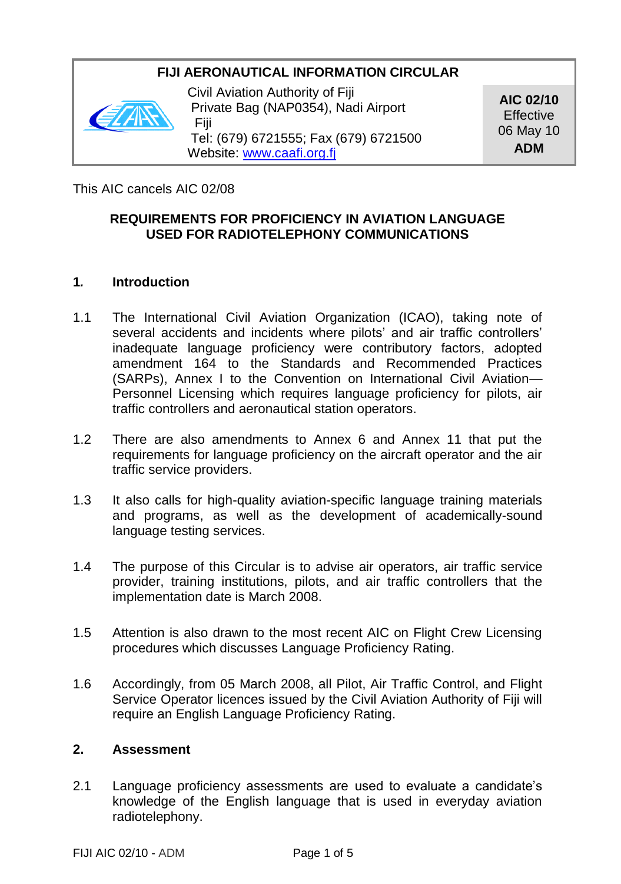## **FIJI AERONAUTICAL INFORMATION CIRCULAR**



Civil Aviation Authority of Fiji Private Bag (NAP0354), Nadi Airport Fiji Tel: (679) 6721555; Fax (679) 6721500 Website: www.caafi.org.fi

**AIC 02/10 Effective** 06 May 10 **ADM**

This AIC cancels AIC 02/08

## **REQUIREMENTS FOR PROFICIENCY IN AVIATION LANGUAGE USED FOR RADIOTELEPHONY COMMUNICATIONS**

### **1***.* **Introduction**

- 1.1 The International Civil Aviation Organization (ICAO), taking note of several accidents and incidents where pilots' and air traffic controllers' inadequate language proficiency were contributory factors, adopted amendment 164 to the Standards and Recommended Practices (SARPs), Annex I to the Convention on International Civil Aviation— Personnel Licensing which requires language proficiency for pilots, air traffic controllers and aeronautical station operators.
- 1.2 There are also amendments to Annex 6 and Annex 11 that put the requirements for language proficiency on the aircraft operator and the air traffic service providers.
- 1.3 It also calls for high-quality aviation-specific language training materials and programs, as well as the development of academically-sound language testing services.
- 1.4 The purpose of this Circular is to advise air operators, air traffic service provider, training institutions, pilots, and air traffic controllers that the implementation date is March 2008.
- 1.5 Attention is also drawn to the most recent AIC on Flight Crew Licensing procedures which discusses Language Proficiency Rating.
- 1.6 Accordingly, from 05 March 2008, all Pilot, Air Traffic Control, and Flight Service Operator licences issued by the Civil Aviation Authority of Fiji will require an English Language Proficiency Rating.

### **2. Assessment**

2.1 Language proficiency assessments are used to evaluate a candidate's knowledge of the English language that is used in everyday aviation radiotelephony.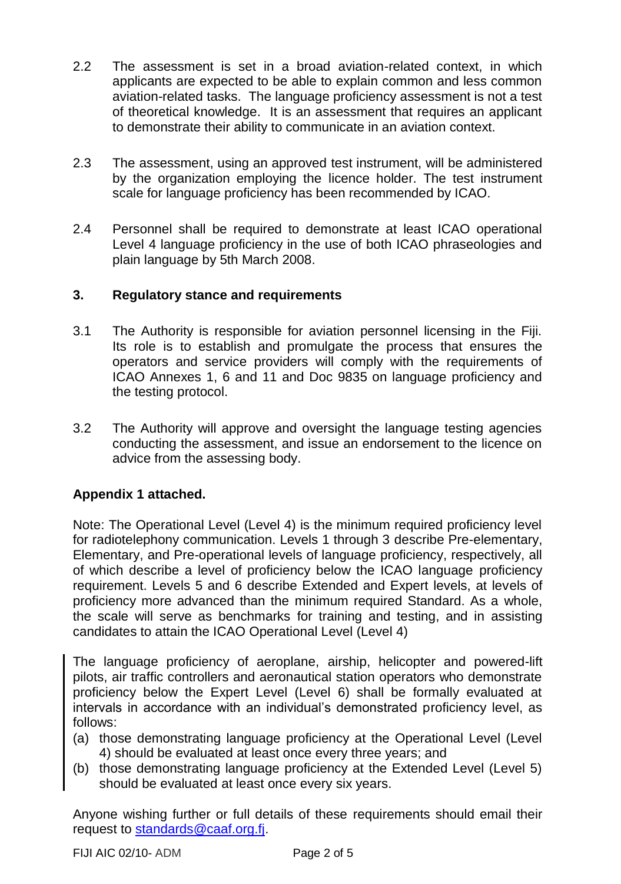- 2.2 The assessment is set in a broad aviation-related context, in which applicants are expected to be able to explain common and less common aviation-related tasks. The language proficiency assessment is not a test of theoretical knowledge. It is an assessment that requires an applicant to demonstrate their ability to communicate in an aviation context.
- 2.3 The assessment, using an approved test instrument, will be administered by the organization employing the licence holder. The test instrument scale for language proficiency has been recommended by ICAO.
- 2.4 Personnel shall be required to demonstrate at least ICAO operational Level 4 language proficiency in the use of both ICAO phraseologies and plain language by 5th March 2008.

## **3. Regulatory stance and requirements**

- 3.1 The Authority is responsible for aviation personnel licensing in the Fiji. Its role is to establish and promulgate the process that ensures the operators and service providers will comply with the requirements of ICAO Annexes 1, 6 and 11 and Doc 9835 on language proficiency and the testing protocol.
- 3.2 The Authority will approve and oversight the language testing agencies conducting the assessment, and issue an endorsement to the licence on advice from the assessing body.

## **Appendix 1 attached.**

Note: The Operational Level (Level 4) is the minimum required proficiency level for radiotelephony communication. Levels 1 through 3 describe Pre-elementary, Elementary, and Pre-operational levels of language proficiency, respectively, all of which describe a level of proficiency below the ICAO language proficiency requirement. Levels 5 and 6 describe Extended and Expert levels, at levels of proficiency more advanced than the minimum required Standard. As a whole, the scale will serve as benchmarks for training and testing, and in assisting candidates to attain the ICAO Operational Level (Level 4)

The language proficiency of aeroplane, airship, helicopter and powered-lift pilots, air traffic controllers and aeronautical station operators who demonstrate proficiency below the Expert Level (Level 6) shall be formally evaluated at intervals in accordance with an individual's demonstrated proficiency level, as follows:

- (a) those demonstrating language proficiency at the Operational Level (Level 4) should be evaluated at least once every three years; and
- (b) those demonstrating language proficiency at the Extended Level (Level 5) should be evaluated at least once every six years.

Anyone wishing further or full details of these requirements should email their request to [standards@caaf.org.fj.](mailto:standards@caaf.org.fj)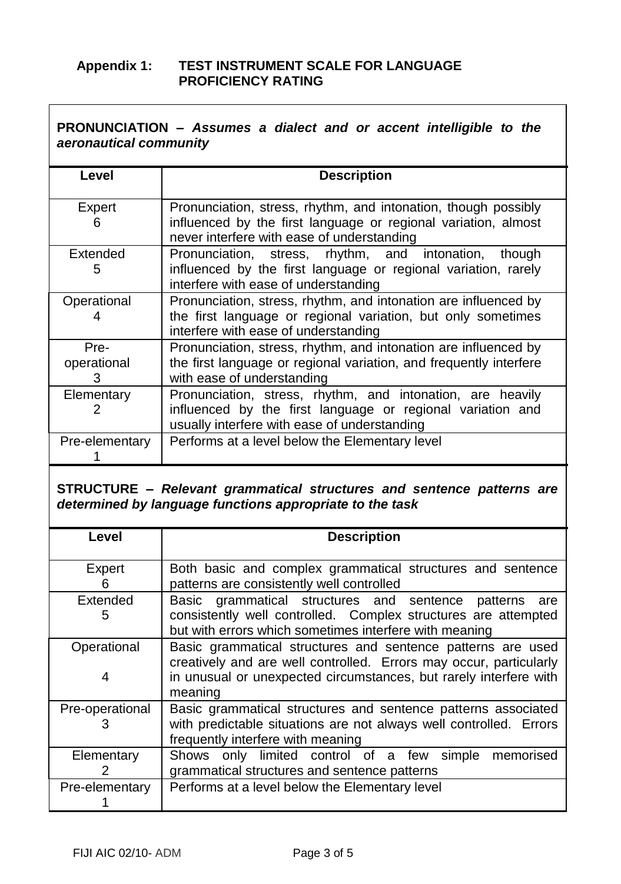## **Appendix 1: TEST INSTRUMENT SCALE FOR LANGUAGE PROFICIENCY RATING**

| <b>PRONUNCIATION - Assumes a dialect and or accent intelligible to the</b> |  |  |  |  |
|----------------------------------------------------------------------------|--|--|--|--|
| aeronautical community                                                     |  |  |  |  |

| Level                    | <b>Description</b>                                                                                                                                                             |
|--------------------------|--------------------------------------------------------------------------------------------------------------------------------------------------------------------------------|
| Expert<br>6              | Pronunciation, stress, rhythm, and intonation, though possibly<br>influenced by the first language or regional variation, almost<br>never interfere with ease of understanding |
| Extended<br>5            | Pronunciation, stress, rhythm, and intonation, though<br>influenced by the first language or regional variation, rarely<br>interfere with ease of understanding                |
| Operational              | Pronunciation, stress, rhythm, and intonation are influenced by<br>the first language or regional variation, but only sometimes<br>interfere with ease of understanding        |
| Pre-<br>operational<br>з | Pronunciation, stress, rhythm, and intonation are influenced by<br>the first language or regional variation, and frequently interfere<br>with ease of understanding            |
| Elementary               | Pronunciation, stress, rhythm, and intonation, are heavily<br>influenced by the first language or regional variation and<br>usually interfere with ease of understanding       |
| Pre-elementary           | Performs at a level below the Elementary level                                                                                                                                 |

#### **STRUCTURE –** *Relevant grammatical structures and sentence patterns are determined by language functions appropriate to the task*

| Level            | <b>Description</b>                                                                                                                                                                                                |
|------------------|-------------------------------------------------------------------------------------------------------------------------------------------------------------------------------------------------------------------|
| Expert<br>ჩ      | Both basic and complex grammatical structures and sentence<br>patterns are consistently well controlled                                                                                                           |
| Extended<br>5    | Basic grammatical structures and sentence<br>patterns<br>are<br>consistently well controlled. Complex structures are attempted<br>but with errors which sometimes interfere with meaning                          |
| Operational<br>4 | Basic grammatical structures and sentence patterns are used<br>creatively and are well controlled. Errors may occur, particularly<br>in unusual or unexpected circumstances, but rarely interfere with<br>meaning |
| Pre-operational  | Basic grammatical structures and sentence patterns associated<br>with predictable situations are not always well controlled. Errors<br>frequently interfere with meaning                                          |
| Elementary<br>2  | Shows only limited control of a few simple<br>memorised<br>grammatical structures and sentence patterns                                                                                                           |
| Pre-elementary   | Performs at a level below the Elementary level                                                                                                                                                                    |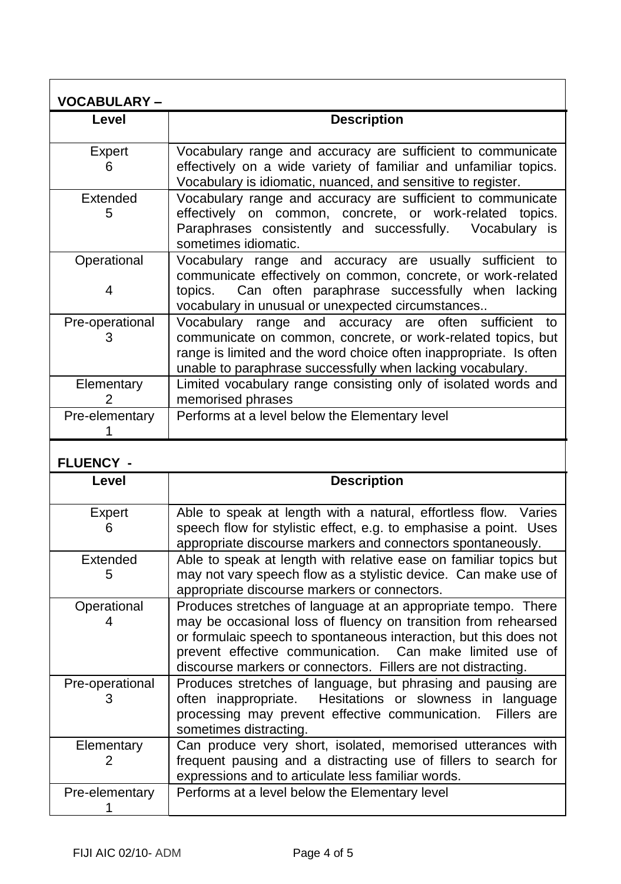| <b>VOCABULARY-</b>   |                                                                                                                                                                                                                                                           |
|----------------------|-----------------------------------------------------------------------------------------------------------------------------------------------------------------------------------------------------------------------------------------------------------|
| Level                | <b>Description</b>                                                                                                                                                                                                                                        |
| Expert<br>6          | Vocabulary range and accuracy are sufficient to communicate<br>effectively on a wide variety of familiar and unfamiliar topics.<br>Vocabulary is idiomatic, nuanced, and sensitive to register.                                                           |
| Extended<br>5        | Vocabulary range and accuracy are sufficient to communicate<br>effectively on common, concrete, or work-related topics.<br>Paraphrases consistently and successfully. Vocabulary is<br>sometimes idiomatic.                                               |
| Operational<br>4     | Vocabulary range and accuracy are usually sufficient to<br>communicate effectively on common, concrete, or work-related<br>topics. Can often paraphrase successfully when lacking<br>vocabulary in unusual or unexpected circumstances                    |
| Pre-operational<br>з | Vocabulary range and accuracy are often sufficient to<br>communicate on common, concrete, or work-related topics, but<br>range is limited and the word choice often inappropriate. Is often<br>unable to paraphrase successfully when lacking vocabulary. |
| Elementary           | Limited vocabulary range consisting only of isolated words and<br>memorised phrases                                                                                                                                                                       |
| Pre-elementary       | Performs at a level below the Elementary level                                                                                                                                                                                                            |

# **FLUENCY -**

| Level                | <b>Description</b>                                                                                                                                                                                                                                                                                                                |
|----------------------|-----------------------------------------------------------------------------------------------------------------------------------------------------------------------------------------------------------------------------------------------------------------------------------------------------------------------------------|
| Expert<br>6          | Able to speak at length with a natural, effortless flow. Varies<br>speech flow for stylistic effect, e.g. to emphasise a point. Uses<br>appropriate discourse markers and connectors spontaneously.                                                                                                                               |
| Extended<br>5        | Able to speak at length with relative ease on familiar topics but<br>may not vary speech flow as a stylistic device. Can make use of<br>appropriate discourse markers or connectors.                                                                                                                                              |
| Operational          | Produces stretches of language at an appropriate tempo. There<br>may be occasional loss of fluency on transition from rehearsed<br>or formulaic speech to spontaneous interaction, but this does not<br>prevent effective communication. Can make limited use of<br>discourse markers or connectors. Fillers are not distracting. |
| Pre-operational<br>з | Produces stretches of language, but phrasing and pausing are<br>often inappropriate. Hesitations or slowness in language<br>processing may prevent effective communication. Fillers are<br>sometimes distracting.                                                                                                                 |
| Elementary<br>2      | Can produce very short, isolated, memorised utterances with<br>frequent pausing and a distracting use of fillers to search for<br>expressions and to articulate less familiar words.                                                                                                                                              |
| Pre-elementary       | Performs at a level below the Elementary level                                                                                                                                                                                                                                                                                    |